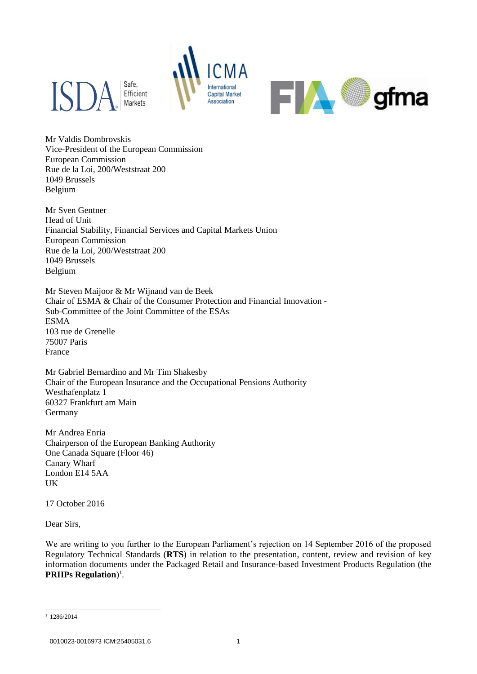



Mr Valdis Dombrovskis Vice-President of the European Commission European Commission Rue de la Loi, 200/Weststraat 200 1049 Brussels Belgium

Mr Sven Gentner Head of Unit Financial Stability, Financial Services and Capital Markets Union European Commission Rue de la Loi, 200/Weststraat 200 1049 Brussels Belgium

Mr Steven Maijoor & Mr Wijnand van de Beek Chair of ESMA & Chair of the Consumer Protection and Financial Innovation - Sub-Committee of the Joint Committee of the ESAs ESMA 103 rue de Grenelle 75007 Paris France

Mr Gabriel Bernardino and Mr Tim Shakesby Chair of the European Insurance and the Occupational Pensions Authority Westhafenplatz 1 60327 Frankfurt am Main Germany

Mr Andrea Enria Chairperson of the European Banking Authority One Canada Square (Floor 46) Canary Wharf London E14 5AA UK

17 October 2016

Dear Sirs,

We are writing to you further to the European Parliament's rejection on 14 September 2016 of the proposed Regulatory Technical Standards (**RTS**) in relation to the presentation, content, review and revision of key information documents under the Packaged Retail and Insurance-based Investment Products Regulation (the **PRIIPs Regulation**) 1 .

1

 $1$  1286/2014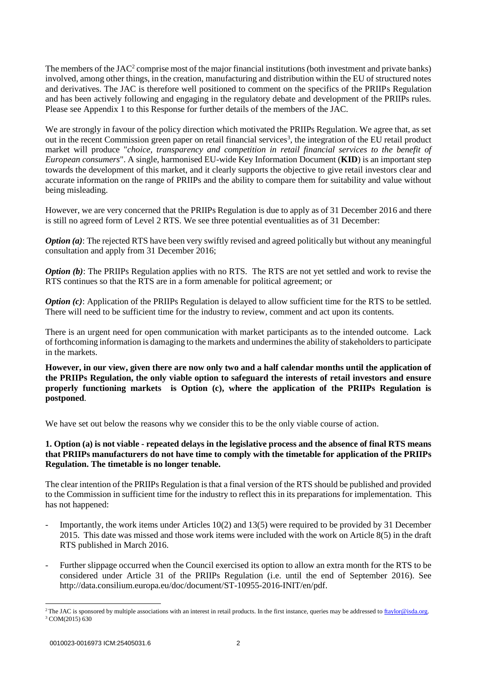The members of the JAC<sup>2</sup> comprise most of the major financial institutions (both investment and private banks) involved, among other things, in the creation, manufacturing and distribution within the EU of structured notes and derivatives. The JAC is therefore well positioned to comment on the specifics of the PRIIPs Regulation and has been actively following and engaging in the regulatory debate and development of the PRIIPs rules. Please see Appendix 1 to this Response for further details of the members of the JAC.

We are strongly in favour of the policy direction which motivated the PRIIPs Regulation. We agree that, as set out in the recent Commission green paper on retail financial services<sup>3</sup>, the integration of the EU retail product market will produce "*choice, transparency and competition in retail financial services to the benefit of European consumers*". A single, harmonised EU-wide Key Information Document (**KID**) is an important step towards the development of this market, and it clearly supports the objective to give retail investors clear and accurate information on the range of PRIIPs and the ability to compare them for suitability and value without being misleading.

However, we are very concerned that the PRIIPs Regulation is due to apply as of 31 December 2016 and there is still no agreed form of Level 2 RTS. We see three potential eventualities as of 31 December:

*Option (a):* The rejected RTS have been very swiftly revised and agreed politically but without any meaningful consultation and apply from 31 December 2016;

*Option (b)*: The PRIIPs Regulation applies with no RTS. The RTS are not yet settled and work to revise the RTS continues so that the RTS are in a form amenable for political agreement; or

*Option (c)*: Application of the PRIIPs Regulation is delayed to allow sufficient time for the RTS to be settled. There will need to be sufficient time for the industry to review, comment and act upon its contents.

There is an urgent need for open communication with market participants as to the intended outcome. Lack of forthcoming information is damaging to the markets and undermines the ability of stakeholders to participate in the markets.

**However, in our view, given there are now only two and a half calendar months until the application of the PRIIPs Regulation, the only viable option to safeguard the interests of retail investors and ensure properly functioning markets is Option (c), where the application of the PRIIPs Regulation is postponed**.

We have set out below the reasons why we consider this to be the only viable course of action.

## **1. Option (a) is not viable - repeated delays in the legislative process and the absence of final RTS means that PRIIPs manufacturers do not have time to comply with the timetable for application of the PRIIPs Regulation. The timetable is no longer tenable.**

The clear intention of the PRIIPs Regulation is that a final version of the RTS should be published and provided to the Commission in sufficient time for the industry to reflect this in its preparations for implementation. This has not happened:

- Importantly, the work items under Articles 10(2) and 13(5) were required to be provided by 31 December 2015. This date was missed and those work items were included with the work on Article 8(5) in the draft RTS published in March 2016.
- Further slippage occurred when the Council exercised its option to allow an extra month for the RTS to be considered under Article 31 of the PRIIPs Regulation (i.e. until the end of September 2016). See [http://data.consilium.europa.eu/doc/document/ST-10955-2016-INIT/en/pdf.](http://data.consilium.europa.eu/doc/document/ST-10955-2016-INIT/en/pdf)

<sup>1</sup> <sup>2</sup>The JAC is sponsored by multiple associations with an interest in retail products. In the first instance, queries may be addressed to  $\frac{f_{\text{taylor}}@$  isda.org. <sup>3</sup> COM(2015) 630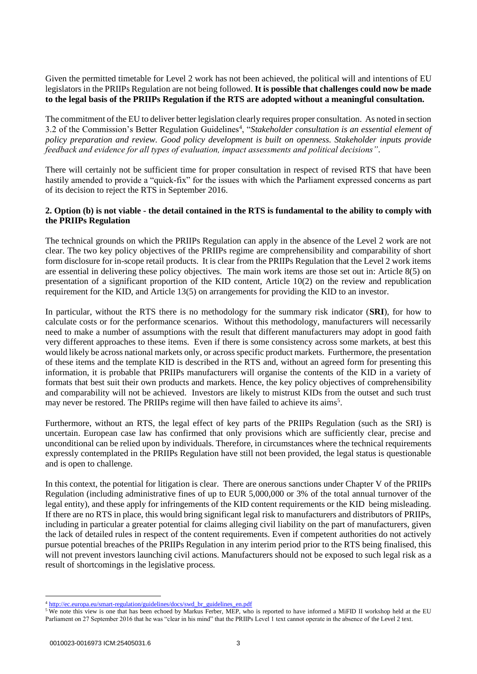Given the permitted timetable for Level 2 work has not been achieved, the political will and intentions of EU legislators in the PRIIPs Regulation are not being followed. **It is possible that challenges could now be made to the legal basis of the PRIIPs Regulation if the RTS are adopted without a meaningful consultation.**

The commitment of the EU to deliver better legislation clearly requires proper consultation. As noted in section 3.2 of the Commission's Better Regulation Guidelines<sup>4</sup>, "Stakeholder consultation is an essential element of *policy preparation and review. Good policy development is built on openness. Stakeholder inputs provide feedback and evidence for all types of evaluation, impact assessments and political decisions"*.

There will certainly not be sufficient time for proper consultation in respect of revised RTS that have been hastily amended to provide a "quick-fix" for the issues with which the Parliament expressed concerns as part of its decision to reject the RTS in September 2016.

# **2. Option (b) is not viable - the detail contained in the RTS is fundamental to the ability to comply with the PRIIPs Regulation**

The technical grounds on which the PRIIPs Regulation can apply in the absence of the Level 2 work are not clear. The two key policy objectives of the PRIIPs regime are comprehensibility and comparability of short form disclosure for in-scope retail products. It is clear from the PRIIPs Regulation that the Level 2 work items are essential in delivering these policy objectives. The main work items are those set out in: Article 8(5) on presentation of a significant proportion of the KID content, Article 10(2) on the review and republication requirement for the KID, and Article 13(5) on arrangements for providing the KID to an investor.

In particular, without the RTS there is no methodology for the summary risk indicator (**SRI**), for how to calculate costs or for the performance scenarios. Without this methodology, manufacturers will necessarily need to make a number of assumptions with the result that different manufacturers may adopt in good faith very different approaches to these items. Even if there is some consistency across some markets, at best this would likely be across national markets only, or across specific product markets. Furthermore, the presentation of these items and the template KID is described in the RTS and, without an agreed form for presenting this information, it is probable that PRIIPs manufacturers will organise the contents of the KID in a variety of formats that best suit their own products and markets. Hence, the key policy objectives of comprehensibility and comparability will not be achieved. Investors are likely to mistrust KIDs from the outset and such trust may never be restored. The PRIIPs regime will then have failed to achieve its aims<sup>5</sup>.

Furthermore, without an RTS, the legal effect of key parts of the PRIIPs Regulation (such as the SRI) is uncertain. European case law has confirmed that only provisions which are sufficiently clear, precise and unconditional can be relied upon by individuals. Therefore, in circumstances where the technical requirements expressly contemplated in the PRIIPs Regulation have still not been provided, the legal status is questionable and is open to challenge.

In this context, the potential for litigation is clear. There are onerous sanctions under Chapter V of the PRIIPs Regulation (including administrative fines of up to EUR 5,000,000 or 3% of the total annual turnover of the legal entity), and these apply for infringements of the KID content requirements or the KID being misleading. If there are no RTS in place, this would bring significant legal risk to manufacturers and distributors of PRIIPs, including in particular a greater potential for claims alleging civil liability on the part of manufacturers, given the lack of detailed rules in respect of the content requirements. Even if competent authorities do not actively pursue potential breaches of the PRIIPs Regulation in any interim period prior to the RTS being finalised, this will not prevent investors launching civil actions. Manufacturers should not be exposed to such legal risk as a result of shortcomings in the legislative process.

**<sup>.</sup>** <sup>4</sup> [http://ec.europa.eu/smart-regulation/guidelines/docs/swd\\_br\\_guidelines\\_en.pdf](http://ec.europa.eu/smart-regulation/guidelines/docs/swd_br_guidelines_en.pdf)

<sup>&</sup>lt;sup>5</sup> We note this view is one that has been echoed by Markus Ferber, MEP, who is reported to have informed a MiFID II workshop held at the EU Parliament on 27 September 2016 that he was "clear in his mind" that the PRIIPs Level 1 text cannot operate in the absence of the Level 2 text.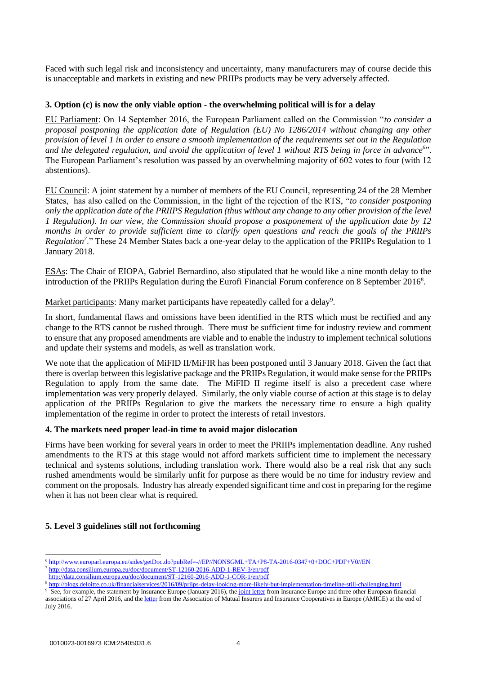Faced with such legal risk and inconsistency and uncertainty, many manufacturers may of course decide this is unacceptable and markets in existing and new PRIIPs products may be very adversely affected.

### **3. Option (c) is now the only viable option - the overwhelming political will is for a delay**

EU Parliament: On 14 September 2016, the European Parliament called on the Commission "*to consider a proposal postponing the application date of Regulation (EU) No 1286/2014 without changing any other provision of level 1 in order to ensure a smooth implementation of the requirements set out in the Regulation and the delegated regulation, and avoid the application of level 1 without RTS being in force in advance<sup>6</sup>* ". The European Parliament's resolution was passed by an overwhelming majority of 602 votes to four (with 12 abstentions).

EU Council: A joint statement by a number of members of the EU Council, representing 24 of the 28 Member States, has also called on the Commission, in the light of the rejection of the RTS, "*to consider postponing only the application date of the PRIIPS Regulation (thus without any change to any other provision of the level 1 Regulation). In our view, the Commission should propose a postponement of the application date by 12 months in order to provide sufficient time to clarify open questions and reach the goals of the PRIIPs Regulation*<sup>7</sup>." These 24 Member States back a one-year delay to the application of the PRIIPs Regulation to 1 January 2018.

ESAs: The Chair of EIOPA, Gabriel Bernardino, also stipulated that he would like a nine month delay to the introduction of the PRIIPs Regulation during the Eurofi Financial Forum conference on 8 September 2016<sup>8</sup>.

Market participants: Many market participants have repeatedly called for a delay<sup>9</sup>.

In short, fundamental flaws and omissions have been identified in the RTS which must be rectified and any change to the RTS cannot be rushed through. There must be sufficient time for industry review and comment to ensure that any proposed amendments are viable and to enable the industry to implement technical solutions and update their systems and models, as well as translation work.

We note that the application of MiFID II/MiFIR has been postponed until 3 January 2018. Given the fact that there is overlap between this legislative package and the PRIIPs Regulation, it would make sense for the PRIIPs Regulation to apply from the same date. The MiFID II regime itself is also a precedent case where implementation was very properly delayed. Similarly, the only viable course of action at this stage is to delay application of the PRIIPs Regulation to give the markets the necessary time to ensure a high quality implementation of the regime in order to protect the interests of retail investors.

### **4. The markets need proper lead-in time to avoid major dislocation**

Firms have been working for several years in order to meet the PRIIPs implementation deadline. Any rushed amendments to the RTS at this stage would not afford markets sufficient time to implement the necessary technical and systems solutions, including translation work. There would also be a real risk that any such rushed amendments would be similarly unfit for purpose as there would be no time for industry review and comment on the proposals. Industry has already expended significant time and cost in preparing for the regime when it has not been clear what is required.

## **5. Level 3 guidelines still not forthcoming**

<sup>1</sup> <sup>6</sup> <http://www.europarl.europa.eu/sides/getDoc.do?pubRef=-//EP//NONSGML+TA+P8-TA-2016-0347+0+DOC+PDF+V0//EN>

<sup>7</sup> <http://data.consilium.europa.eu/doc/document/ST-12160-2016-ADD-1-REV-3/en/pdf>

<http://data.consilium.europa.eu/doc/document/ST-12160-2016-ADD-1-COR-1/en/pdf>

<sup>8</sup> <http://blogs.deloitte.co.uk/financialservices/2016/09/priips-delay-looking-more-likely-but-implementation-timeline-still-challenging.html>

<sup>&</sup>lt;sup>9</sup> See, for example, the statement by Insurance Europe (January 2016), th[e joint letter](http://www.ebf-fbe.eu/wp-content/uploads/2016/04/PRIIPS-Joint-EBF-Insurance-Europe-EFAMA-EUSIPA-letter-27-April-2016.pdf) from Insurance Europe and three other European financial associations of 27 April 2016, and th[e letter](http://www.amice-eu.org/Download.ashx?ID=58199) from the Association of Mutual Insurers and Insurance Cooperatives in Europe (AMICE) at the end of July 2016.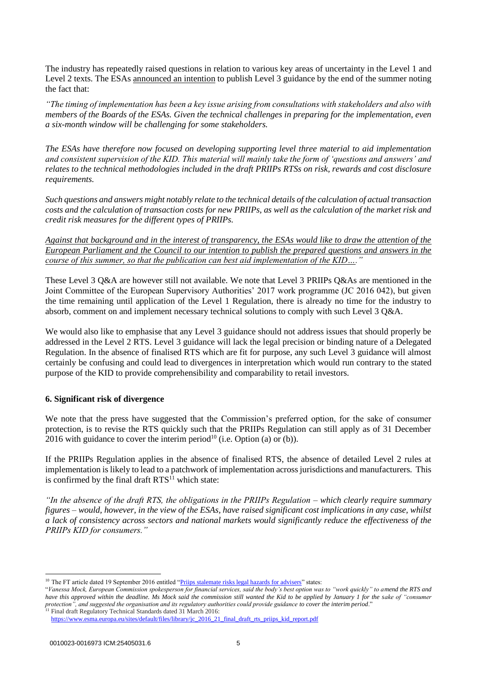The industry has repeatedly raised questions in relation to various key areas of uncertainty in the Level 1 and Level 2 texts. The ESAs announced [an intention](file:///C:/Users/whitbysa/AppData/Roaming/OpenText/DM/Temp/ESAs%20letter:%20https:/esas-joint-committee.europa.eu/Publications/Reports/ESAs_2016_51_ESAs_letter_EP_Council_PRIIPs_QA.pdf) to publish Level 3 guidance by the end of the summer noting the fact that:

*"The timing of implementation has been a key issue arising from consultations with stakeholders and also with members of the Boards of the ESAs. Given the technical challenges in preparing for the implementation, even a six-month window will be challenging for some stakeholders.*

*The ESAs have therefore now focused on developing supporting level three material to aid implementation and consistent supervision of the KID. This material will mainly take the form of 'questions and answers' and relates to the technical methodologies included in the draft PRIIPs RTSs on risk, rewards and cost disclosure requirements.*

*Such questions and answers might notably relate to the technical details of the calculation of actual transaction costs and the calculation of transaction costs for new PRIIPs, as well as the calculation of the market risk and credit risk measures for the different types of PRIIPs.*

*Against that background and in the interest of transparency, the ESAs would like to draw the attention of the European Parliament and the Council to our intention to publish the prepared questions and answers in the course of this summer, so that the publication can best aid implementation of the KID....* 

These Level 3 Q&A are however still not available. We note that Level 3 PRIIPs Q&As are mentioned in the Joint Committee of the European Supervisory Authorities' 2017 work programme (JC 2016 042), but given the time remaining until application of the Level 1 Regulation, there is already no time for the industry to absorb, comment on and implement necessary technical solutions to comply with such Level 3 Q&A.

We would also like to emphasise that any Level 3 guidance should not address issues that should properly be addressed in the Level 2 RTS. Level 3 guidance will lack the legal precision or binding nature of a Delegated Regulation. In the absence of finalised RTS which are fit for purpose, any such Level 3 guidance will almost certainly be confusing and could lead to divergences in interpretation which would run contrary to the stated purpose of the KID to provide comprehensibility and comparability to retail investors.

## **6. Significant risk of divergence**

We note that the press have suggested that the Commission's preferred option, for the sake of consumer protection, is to revise the RTS quickly such that the PRIIPs Regulation can still apply as of 31 December 2016 with guidance to cover the interim period<sup>10</sup> (i.e. Option (a) or (b)).

If the PRIIPs Regulation applies in the absence of finalised RTS, the absence of detailed Level 2 rules at implementation is likely to lead to a patchwork of implementation across jurisdictions and manufacturers. This is confirmed by the final draft  $RTS^{11}$  which state:

*"In the absence of the draft RTS, the obligations in the PRIIPs Regulation – which clearly require summary figures – would, however, in the view of the ESAs, have raised significant cost implications in any case, whilst a lack of consistency across sectors and national markets would significantly reduce the effectiveness of the PRIIPs KID for consumers."*

**<sup>.</sup>** <sup>10</sup> The FT article dated 19 September 2016 entitled ["Priips stalemate risks legal hazards for advisers"](https://www.ftadviser.com/2016/09/19/investments/europe/priips-stalemate-risks-legal-hazards-for-advisers-6SeALx5DW2W5prdF00niPP/article.html) states:

<sup>&</sup>quot;*Vanessa Mock, European Commission spokesperson for financial services, said the body's best option was to "work quickly" to amend the RTS and*  have this approved within the deadline. Ms Mock said the commission still wanted the Kid to be applied by January 1 for the sake of "consumer" *protection", and suggested the organisation and its regulatory authorities could provide guidance to cover the interim period*."

<sup>&</sup>lt;sup>11</sup> Final draft Regulatory Technical Standards dated 31 March 2016: [https://www.esma.europa.eu/sites/default/files/library/jc\\_2016\\_21\\_final\\_draft\\_rts\\_priips\\_kid\\_report.pdf](https://www.esma.europa.eu/sites/default/files/library/jc_2016_21_final_draft_rts_priips_kid_report.pdf)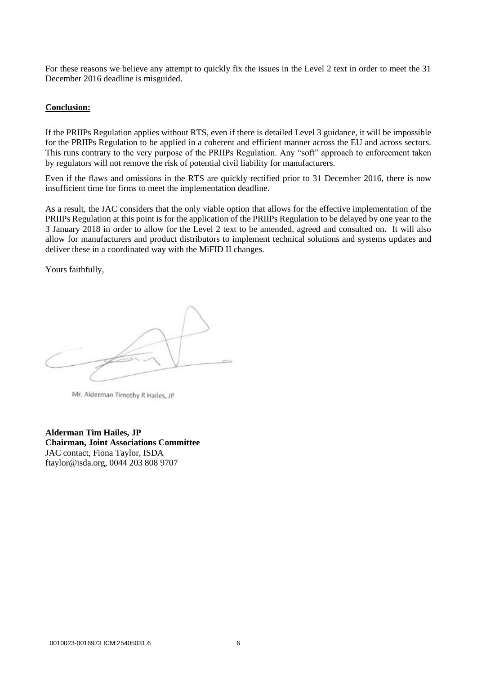For these reasons we believe any attempt to quickly fix the issues in the Level 2 text in order to meet the 31 December 2016 deadline is misguided.

#### **Conclusion:**

If the PRIIPs Regulation applies without RTS, even if there is detailed Level 3 guidance, it will be impossible for the PRIIPs Regulation to be applied in a coherent and efficient manner across the EU and across sectors. This runs contrary to the very purpose of the PRIIPs Regulation. Any "soft" approach to enforcement taken by regulators will not remove the risk of potential civil liability for manufacturers.

Even if the flaws and omissions in the RTS are quickly rectified prior to 31 December 2016, there is now insufficient time for firms to meet the implementation deadline.

As a result, the JAC considers that the only viable option that allows for the effective implementation of the PRIIPs Regulation at this point is for the application of the PRIIPs Regulation to be delayed by one year to the 3 January 2018 in order to allow for the Level 2 text to be amended, agreed and consulted on. It will also allow for manufacturers and product distributors to implement technical solutions and systems updates and deliver these in a coordinated way with the MiFID II changes.

Yours faithfully,

Mr. Alderman Timothy R Hailes, JP

**Alderman Tim Hailes, JP Chairman, Joint Associations Committee** JAC contact, Fiona Taylor, ISDA ftaylor@isda.org, 0044 203 808 9707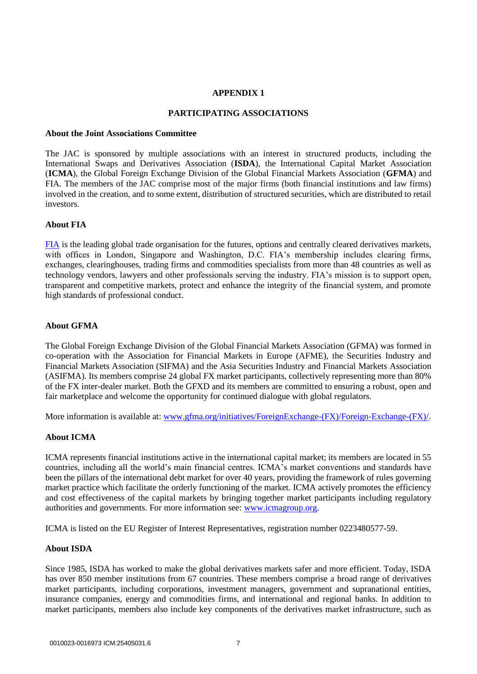## **APPENDIX 1**

## **PARTICIPATING ASSOCIATIONS**

### **About the Joint Associations Committee**

The JAC is sponsored by multiple associations with an interest in structured products, including the International Swaps and Derivatives Association (**ISDA**), the International Capital Market Association (**ICMA**), the Global Foreign Exchange Division of the Global Financial Markets Association (**GFMA**) and FIA. The members of the JAC comprise most of the major firms (both financial institutions and law firms) involved in the creation, and to some extent, distribution of structured securities, which are distributed to retail investors.

## **About FIA**

[FIA](https://fia.org/) is the leading global trade organisation for the futures, options and centrally cleared derivatives markets, with offices in London, Singapore and Washington, D.C. FIA's membership includes clearing firms, exchanges, clearinghouses, trading firms and commodities specialists from more than 48 countries as well as technology vendors, lawyers and other professionals serving the industry. FIA's mission is to support open, transparent and competitive markets, protect and enhance the integrity of the financial system, and promote high standards of professional conduct.

## **About GFMA**

The Global Foreign Exchange Division of the Global Financial Markets Association (GFMA) was formed in co-operation with the Association for Financial Markets in Europe (AFME), the Securities Industry and Financial Markets Association (SIFMA) and the Asia Securities Industry and Financial Markets Association (ASIFMA). Its members comprise 24 global FX market participants, collectively representing more than 80% of the FX inter-dealer market. Both the GFXD and its members are committed to ensuring a robust, open and fair marketplace and welcome the opportunity for continued dialogue with global regulators.

More information is available at: [www.gfma.org/initiatives/ForeignExchange-\(FX\)/Foreign-Exchange-\(FX\)/.](http://www.gfma.org/initiatives/ForeignExchange-(FX)/Foreign-Exchange-(FX)/)

## **About ICMA**

ICMA represents financial institutions active in the international capital market; its members are located in 55 countries, including all the world's main financial centres. ICMA's market conventions and standards have been the pillars of the international debt market for over 40 years, providing the framework of rules governing market practice which facilitate the orderly functioning of the market. ICMA actively promotes the efficiency and cost effectiveness of the capital markets by bringing together market participants including regulatory authorities and governments. For more information see: [www.icmagroup.org.](http://www.icmagroup.org/)

ICMA is listed on the EU Register of Interest Representatives, registration number 0223480577-59.

### **About ISDA**

Since 1985, ISDA has worked to make the global derivatives markets safer and more efficient. Today, ISDA has over 850 member institutions from 67 countries. These members comprise a broad range of derivatives market participants, including corporations, investment managers, government and supranational entities, insurance companies, energy and commodities firms, and international and regional banks. In addition to market participants, members also include key components of the derivatives market infrastructure, such as